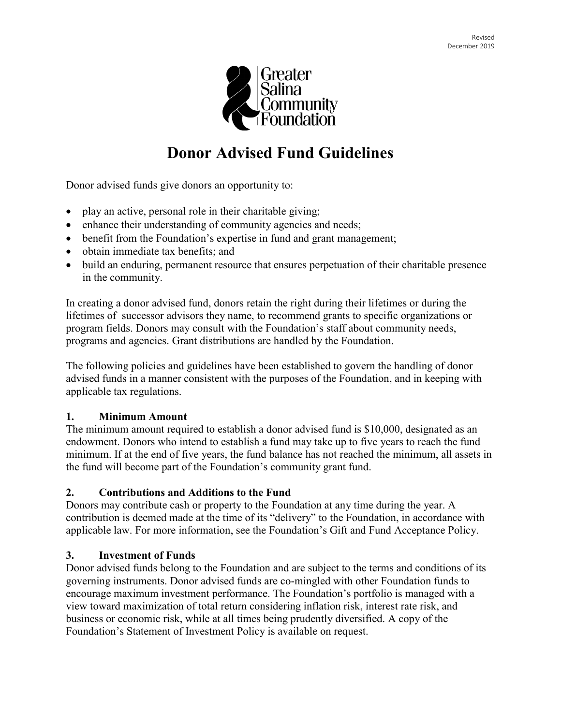

# **Donor Advised Fund Guidelines**

Donor advised funds give donors an opportunity to:

- play an active, personal role in their charitable giving;
- enhance their understanding of community agencies and needs;
- benefit from the Foundation's expertise in fund and grant management;
- obtain immediate tax benefits; and
- build an enduring, permanent resource that ensures perpetuation of their charitable presence in the community.

In creating a donor advised fund, donors retain the right during their lifetimes or during the lifetimes of successor advisors they name, to recommend grants to specific organizations or program fields. Donors may consult with the Foundation's staff about community needs, programs and agencies. Grant distributions are handled by the Foundation.

The following policies and guidelines have been established to govern the handling of donor advised funds in a manner consistent with the purposes of the Foundation, and in keeping with applicable tax regulations.

#### **1. Minimum Amount**

The minimum amount required to establish a donor advised fund is \$10,000, designated as an endowment. Donors who intend to establish a fund may take up to five years to reach the fund minimum. If at the end of five years, the fund balance has not reached the minimum, all assets in the fund will become part of the Foundation's community grant fund.

#### **2. Contributions and Additions to the Fund**

Donors may contribute cash or property to the Foundation at any time during the year. A contribution is deemed made at the time of its "delivery" to the Foundation, in accordance with applicable law. For more information, see the Foundation's Gift and Fund Acceptance Policy.

#### **3. Investment of Funds**

Donor advised funds belong to the Foundation and are subject to the terms and conditions of its governing instruments. Donor advised funds are co-mingled with other Foundation funds to encourage maximum investment performance. The Foundation's portfolio is managed with a view toward maximization of total return considering inflation risk, interest rate risk, and business or economic risk, while at all times being prudently diversified. A copy of the Foundation's Statement of Investment Policy is available on request.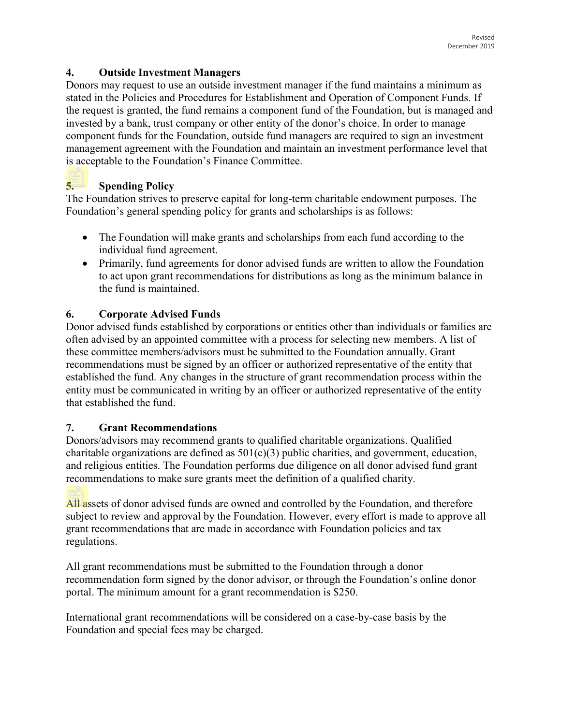#### **4. Outside Investment Managers**

Donors may request to use an outside investment manager if the fund maintains a minimum as stated in the Policies and Procedures for Establishment and Operation of Component Funds. If the request is granted, the fund remains a component fund of the Foundation, but is managed and invested by a bank, trust company or other entity of the donor's choice. In order to manage component funds for the Foundation, outside fund managers are required to sign an investment management agreement with the Foundation and maintain an investment performance level that is acceptable to the Foundation's Finance Committee.

# **5. Spending Policy**

The Foundation strives to preserve capital for long-term charitable endowment purposes. The Foundation's general spending policy for grants and scholarships is as follows:

- The Foundation will make grants and scholarships from each fund according to the individual fund agreement.
- Primarily, fund agreements for donor advised funds are written to allow the Foundation to act upon grant recommendations for distributions as long as the minimum balance in the fund is maintained.

# **6. Corporate Advised Funds**

Donor advised funds established by corporations or entities other than individuals or families are often advised by an appointed committee with a process for selecting new members. A list of these committee members/advisors must be submitted to the Foundation annually. Grant recommendations must be signed by an officer or authorized representative of the entity that established the fund. Any changes in the structure of grant recommendation process within the entity must be communicated in writing by an officer or authorized representative of the entity that established the fund.

## **7. Grant Recommendations**

Donors/advisors may recommend grants to qualified charitable organizations. Qualified charitable organizations are defined as 501(c)(3) public charities, and government, education, and religious entities. The Foundation performs due diligence on all donor advised fund grant recommendations to make sure grants meet the definition of a qualified charity.

All assets of donor advised funds are owned and controlled by the Foundation, and therefore subject to review and approval by the Foundation. However, every effort is made to approve all grant recommendations that are made in accordance with Foundation policies and tax regulations.

All grant recommendations must be submitted to the Foundation through a donor recommendation form signed by the donor advisor, or through the Foundation's online donor portal. The minimum amount for a grant recommendation is \$250.

International grant recommendations will be considered on a case-by-case basis by the Foundation and special fees may be charged.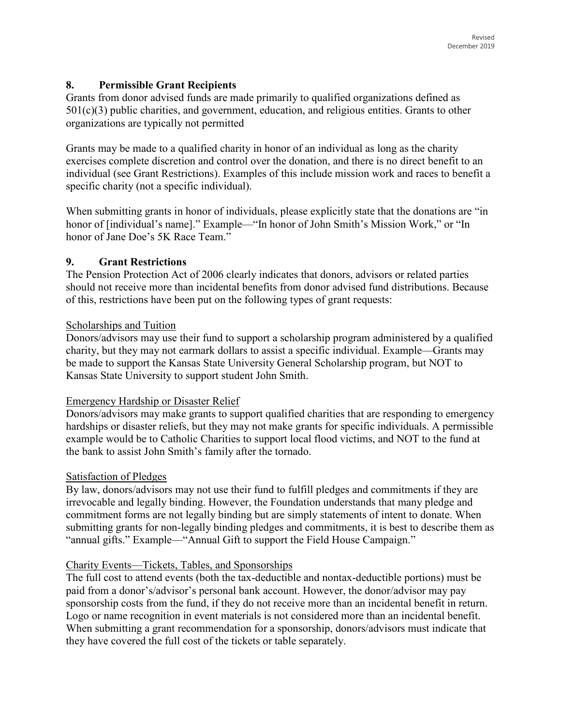## **8. Permissible Grant Recipients**

Grants from donor advised funds are made primarily to qualified organizations defined as 501(c)(3) public charities, and government, education, and religious entities. Grants to other organizations are typically not permitted

Grants may be made to a qualified charity in honor of an individual as long as the charity exercises complete discretion and control over the donation, and there is no direct benefit to an individual (see Grant Restrictions). Examples of this include mission work and races to benefit a specific charity (not a specific individual).

When submitting grants in honor of individuals, please explicitly state that the donations are "in honor of [individual's name]." Example—"In honor of John Smith's Mission Work," or "In honor of Jane Doe's 5K Race Team."

## **9. Grant Restrictions**

The Pension Protection Act of 2006 clearly indicates that donors, advisors or related parties should not receive more than incidental benefits from donor advised fund distributions. Because of this, restrictions have been put on the following types of grant requests:

#### Scholarships and Tuition

Donors/advisors may use their fund to support a scholarship program administered by a qualified charity, but they may not earmark dollars to assist a specific individual. Example—Grants may be made to support the Kansas State University General Scholarship program, but NOT to Kansas State University to support student John Smith.

#### Emergency Hardship or Disaster Relief

Donors/advisors may make grants to support qualified charities that are responding to emergency hardships or disaster reliefs, but they may not make grants for specific individuals. A permissible example would be to Catholic Charities to support local flood victims, and NOT to the fund at the bank to assist John Smith's family after the tornado.

#### Satisfaction of Pledges

By law, donors/advisors may not use their fund to fulfill pledges and commitments if they are irrevocable and legally binding. However, the Foundation understands that many pledge and commitment forms are not legally binding but are simply statements of intent to donate. When submitting grants for non-legally binding pledges and commitments, it is best to describe them as "annual gifts." Example—"Annual Gift to support the Field House Campaign."

#### Charity Events—Tickets, Tables, and Sponsorships

The full cost to attend events (both the tax-deductible and nontax-deductible portions) must be paid from a donor's/advisor's personal bank account. However, the donor/advisor may pay sponsorship costs from the fund, if they do not receive more than an incidental benefit in return. Logo or name recognition in event materials is not considered more than an incidental benefit. When submitting a grant recommendation for a sponsorship, donors/advisors must indicate that they have covered the full cost of the tickets or table separately.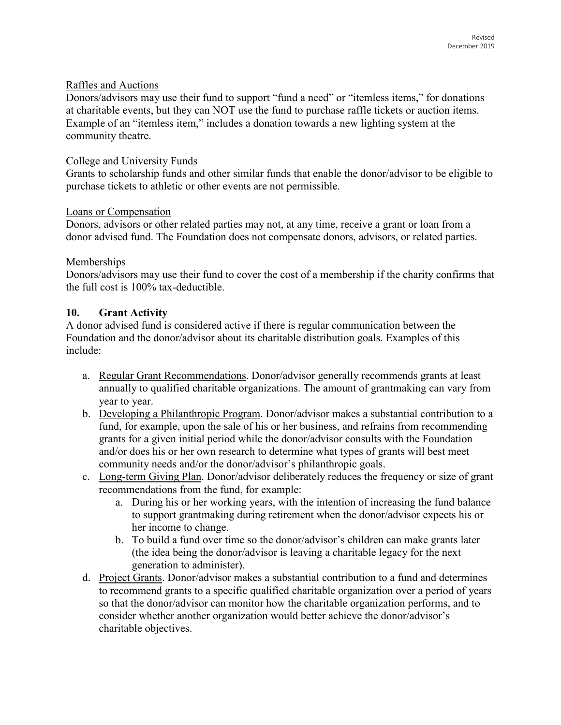#### Raffles and Auctions

Donors/advisors may use their fund to support "fund a need" or "itemless items," for donations at charitable events, but they can NOT use the fund to purchase raffle tickets or auction items. Example of an "itemless item," includes a donation towards a new lighting system at the community theatre.

#### College and University Funds

Grants to scholarship funds and other similar funds that enable the donor/advisor to be eligible to purchase tickets to athletic or other events are not permissible.

#### Loans or Compensation

Donors, advisors or other related parties may not, at any time, receive a grant or loan from a donor advised fund. The Foundation does not compensate donors, advisors, or related parties.

#### Memberships

Donors/advisors may use their fund to cover the cost of a membership if the charity confirms that the full cost is 100% tax-deductible.

#### **10. Grant Activity**

A donor advised fund is considered active if there is regular communication between the Foundation and the donor/advisor about its charitable distribution goals. Examples of this include:

- a. Regular Grant Recommendations. Donor/advisor generally recommends grants at least annually to qualified charitable organizations. The amount of grantmaking can vary from year to year.
- b. Developing a Philanthropic Program. Donor/advisor makes a substantial contribution to a fund, for example, upon the sale of his or her business, and refrains from recommending grants for a given initial period while the donor/advisor consults with the Foundation and/or does his or her own research to determine what types of grants will best meet community needs and/or the donor/advisor's philanthropic goals.
- c. Long-term Giving Plan. Donor/advisor deliberately reduces the frequency or size of grant recommendations from the fund, for example:
	- a. During his or her working years, with the intention of increasing the fund balance to support grantmaking during retirement when the donor/advisor expects his or her income to change.
	- b. To build a fund over time so the donor/advisor's children can make grants later (the idea being the donor/advisor is leaving a charitable legacy for the next generation to administer).
- d. Project Grants. Donor/advisor makes a substantial contribution to a fund and determines to recommend grants to a specific qualified charitable organization over a period of years so that the donor/advisor can monitor how the charitable organization performs, and to consider whether another organization would better achieve the donor/advisor's charitable objectives.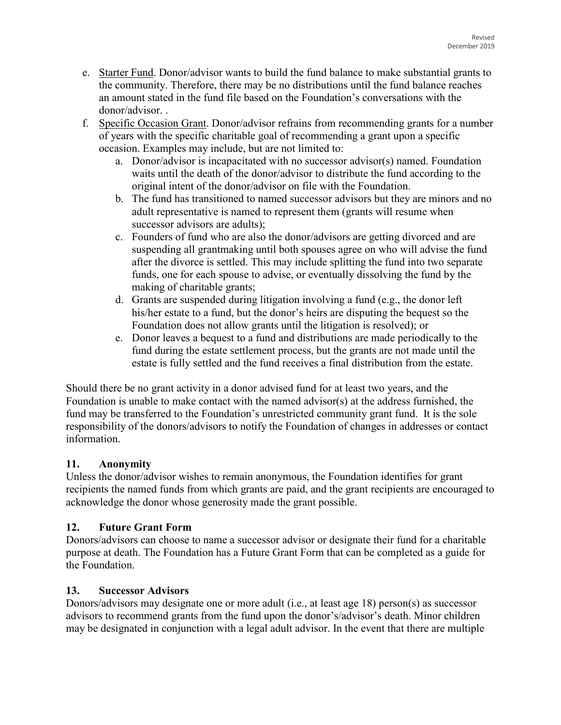- e. Starter Fund. Donor/advisor wants to build the fund balance to make substantial grants to the community. Therefore, there may be no distributions until the fund balance reaches an amount stated in the fund file based on the Foundation's conversations with the donor/advisor. .
- f. Specific Occasion Grant. Donor/advisor refrains from recommending grants for a number of years with the specific charitable goal of recommending a grant upon a specific occasion. Examples may include, but are not limited to:
	- a. Donor/advisor is incapacitated with no successor advisor(s) named. Foundation waits until the death of the donor/advisor to distribute the fund according to the original intent of the donor/advisor on file with the Foundation.
	- b. The fund has transitioned to named successor advisors but they are minors and no adult representative is named to represent them (grants will resume when successor advisors are adults);
	- c. Founders of fund who are also the donor/advisors are getting divorced and are suspending all grantmaking until both spouses agree on who will advise the fund after the divorce is settled. This may include splitting the fund into two separate funds, one for each spouse to advise, or eventually dissolving the fund by the making of charitable grants;
	- d. Grants are suspended during litigation involving a fund (e.g., the donor left his/her estate to a fund, but the donor's heirs are disputing the bequest so the Foundation does not allow grants until the litigation is resolved); or
	- e. Donor leaves a bequest to a fund and distributions are made periodically to the fund during the estate settlement process, but the grants are not made until the estate is fully settled and the fund receives a final distribution from the estate.

Should there be no grant activity in a donor advised fund for at least two years, and the Foundation is unable to make contact with the named advisor(s) at the address furnished, the fund may be transferred to the Foundation's unrestricted community grant fund. It is the sole responsibility of the donors/advisors to notify the Foundation of changes in addresses or contact information.

## **11. Anonymity**

Unless the donor/advisor wishes to remain anonymous, the Foundation identifies for grant recipients the named funds from which grants are paid, and the grant recipients are encouraged to acknowledge the donor whose generosity made the grant possible.

## **12. Future Grant Form**

Donors/advisors can choose to name a successor advisor or designate their fund for a charitable purpose at death. The Foundation has a Future Grant Form that can be completed as a guide for the Foundation.

## **13. Successor Advisors**

Donors/advisors may designate one or more adult (i.e., at least age 18) person(s) as successor advisors to recommend grants from the fund upon the donor's/advisor's death. Minor children may be designated in conjunction with a legal adult advisor. In the event that there are multiple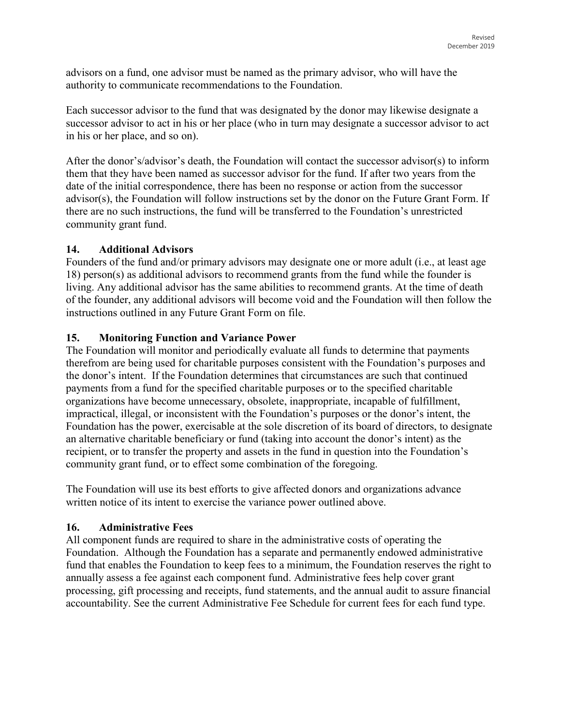advisors on a fund, one advisor must be named as the primary advisor, who will have the authority to communicate recommendations to the Foundation.

Each successor advisor to the fund that was designated by the donor may likewise designate a successor advisor to act in his or her place (who in turn may designate a successor advisor to act in his or her place, and so on).

After the donor's/advisor's death, the Foundation will contact the successor advisor(s) to inform them that they have been named as successor advisor for the fund. If after two years from the date of the initial correspondence, there has been no response or action from the successor advisor(s), the Foundation will follow instructions set by the donor on the Future Grant Form. If there are no such instructions, the fund will be transferred to the Foundation's unrestricted community grant fund.

## **14. Additional Advisors**

Founders of the fund and/or primary advisors may designate one or more adult (i.e., at least age 18) person(s) as additional advisors to recommend grants from the fund while the founder is living. Any additional advisor has the same abilities to recommend grants. At the time of death of the founder, any additional advisors will become void and the Foundation will then follow the instructions outlined in any Future Grant Form on file.

## **15. Monitoring Function and Variance Power**

The Foundation will monitor and periodically evaluate all funds to determine that payments therefrom are being used for charitable purposes consistent with the Foundation's purposes and the donor's intent. If the Foundation determines that circumstances are such that continued payments from a fund for the specified charitable purposes or to the specified charitable organizations have become unnecessary, obsolete, inappropriate, incapable of fulfillment, impractical, illegal, or inconsistent with the Foundation's purposes or the donor's intent, the Foundation has the power, exercisable at the sole discretion of its board of directors, to designate an alternative charitable beneficiary or fund (taking into account the donor's intent) as the recipient, or to transfer the property and assets in the fund in question into the Foundation's community grant fund, or to effect some combination of the foregoing.

The Foundation will use its best efforts to give affected donors and organizations advance written notice of its intent to exercise the variance power outlined above.

## **16. Administrative Fees**

All component funds are required to share in the administrative costs of operating the Foundation. Although the Foundation has a separate and permanently endowed administrative fund that enables the Foundation to keep fees to a minimum, the Foundation reserves the right to annually assess a fee against each component fund. Administrative fees help cover grant processing, gift processing and receipts, fund statements, and the annual audit to assure financial accountability. See the current Administrative Fee Schedule for current fees for each fund type.